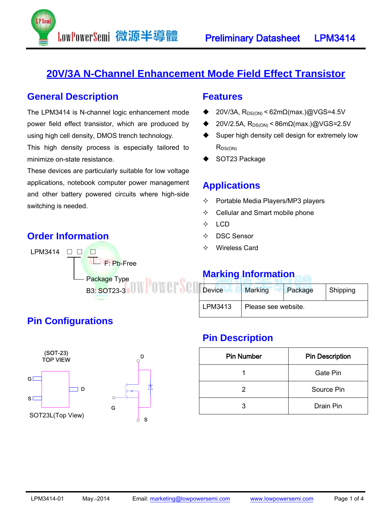

### **20V/3A N-Channel Enhancement Mode Field Effect Transistor**

#### **General Description**

The LPM3414 is N-channel logic enhancement mode power field effect transistor, which are produced by using high cell density, DMOS trench technology.

LowPowerSemi 微源半導體

This high density process is especially tailored to minimize on-state resistance.

These devices are particularly suitable for low voltage applications, notebook computer power management and other battery powered circuits where high-side switching is needed.

### **Order Information**



#### **Features**

- 20V/3A,  $R_{DS(ON)}$  < 62m $\Omega$ (max.) $@VGS=4.5V$
- $20V/2.5A$ , R<sub>DS(ON)</sub> < 86mΩ(max.)@VGS=2.5V
- ◆ Super high density cell design for extremely low  $R_{DS(ON)}$
- SOT23 Package

#### **Applications**

- $\Diamond$  Portable Media Players/MP3 players
- $\Leftrightarrow$  Cellular and Smart mobile phone
- $\div$  LCD
- DSC Sensor
- Wireless Card

### **Marking Information**

| <b>Device</b> | Marking             | Package | Shipping |  |  |  |
|---------------|---------------------|---------|----------|--|--|--|
| LPM3413       | Please see website. |         |          |  |  |  |

#### **Pin Description**

| <b>Pin Number</b> | <b>Pin Description</b> |  |  |
|-------------------|------------------------|--|--|
|                   | Gate Pin               |  |  |
| 2                 | Source Pin             |  |  |
| 2                 | Drain Pin              |  |  |



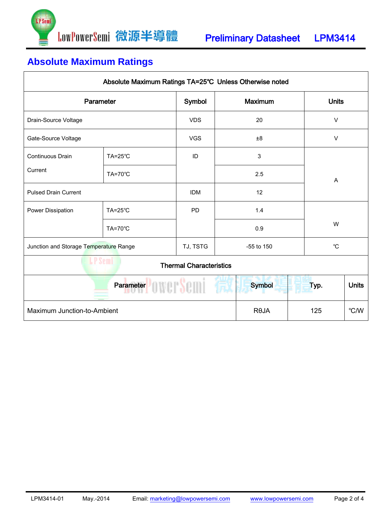

# **Absolute Maximum Ratings**

| Absolute Maximum Ratings TA=25°C Unless Otherwise noted |                    |                    |                |                           |              |                |              |  |
|---------------------------------------------------------|--------------------|--------------------|----------------|---------------------------|--------------|----------------|--------------|--|
| Parameter<br>Symbol                                     |                    |                    | <b>Maximum</b> |                           | <b>Units</b> |                |              |  |
| Drain-Source Voltage                                    |                    | <b>VDS</b>         |                | 20                        |              | $\vee$         |              |  |
| Gate-Source Voltage                                     |                    | <b>VGS</b>         |                | ±8                        |              | $\vee$         |              |  |
| Continuous Drain                                        | $TA=25^{\circ}C$   | ID                 |                | $\mathbf{3}$              |              |                |              |  |
| Current                                                 | <b>TA=70°C</b>     |                    |                | 2.5                       |              | $\overline{A}$ |              |  |
| <b>Pulsed Drain Current</b>                             |                    | <b>IDM</b><br>12   |                |                           |              |                |              |  |
| Power Dissipation                                       | $TA = 25^{\circ}C$ | <b>PD</b>          |                | 1.4<br>0.9                |              | W              |              |  |
|                                                         | TA=70°C            |                    |                |                           |              |                |              |  |
| Junction and Storage Temperature Range                  |                    | TJ, TSTG           |                | $^{\circ}C$<br>-55 to 150 |              |                |              |  |
| <b>LP</b> Semi<br><b>Thermal Characteristics</b>        |                    |                    |                |                           |              |                |              |  |
|                                                         | Parameter          |                    |                | <b>Symbol</b>             |              | Typ.           | <b>Units</b> |  |
| Maximum Junction-to-Ambient                             |                    | <b>ROJA</b><br>125 |                |                           | °C/W         |                |              |  |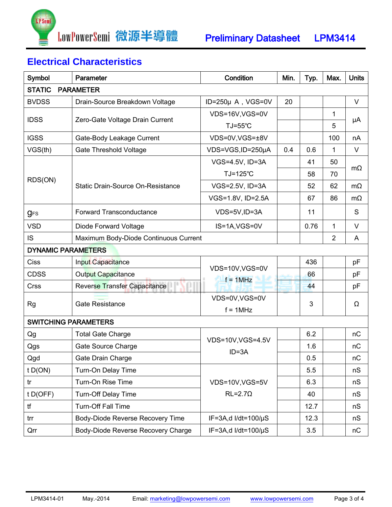

## **Electrical Characteristics**

| Symbol                                                                                                                                                                                                                                                                                                                                                                                                                                                                                                                                                                                                                                                                                                                                              | Parameter                          | Condition                 | Min.<br>Typ. |      | Max.           | <b>Units</b> |  |
|-----------------------------------------------------------------------------------------------------------------------------------------------------------------------------------------------------------------------------------------------------------------------------------------------------------------------------------------------------------------------------------------------------------------------------------------------------------------------------------------------------------------------------------------------------------------------------------------------------------------------------------------------------------------------------------------------------------------------------------------------------|------------------------------------|---------------------------|--------------|------|----------------|--------------|--|
| <b>STATIC</b><br><b>PARAMETER</b>                                                                                                                                                                                                                                                                                                                                                                                                                                                                                                                                                                                                                                                                                                                   |                                    |                           |              |      |                |              |  |
| <b>BVDSS</b>                                                                                                                                                                                                                                                                                                                                                                                                                                                                                                                                                                                                                                                                                                                                        | Drain-Source Breakdown Voltage     | $ID=250\mu A$ , VGS=0V    | 20           |      |                | $\vee$       |  |
| <b>IDSS</b><br>Zero-Gate Voltage Drain Current<br>TJ=55°C<br><b>IGSS</b><br>Gate-Body Leakage Current<br>VGS(th)<br><b>Gate Threshold Voltage</b><br>TJ=125°C<br>RDS(ON)<br><b>Static Drain-Source On-Resistance</b><br><b>Forward Transconductance</b><br><b>g</b> <sub>FS</sub><br><b>VSD</b><br>Diode Forward Voltage<br>IS<br>Maximum Body-Diode Continuous Current<br><b>DYNAMIC PARAMETERS</b><br>Ciss<br>Input Capacitance<br>VDS=10V,VGS=0V<br><b>CDSS</b><br><b>Output Capacitance</b><br>$f = 1$ MHz<br><b>Crss</b><br>Reverse Transfer Capacitance<br><b>Gate Resistance</b><br><b>Rg</b><br>$f = 1$ MHz<br><b>SWITCHING PARAMETERS</b><br>Qg<br><b>Total Gate Charge</b><br>VDS=10V, VGS=4.5V<br>Qgs<br>Gate Source Charge<br>$ID = 3A$ |                                    | VDS=16V,VGS=0V            |              |      | 1              |              |  |
|                                                                                                                                                                                                                                                                                                                                                                                                                                                                                                                                                                                                                                                                                                                                                     |                                    |                           |              | 5    | μA             |              |  |
|                                                                                                                                                                                                                                                                                                                                                                                                                                                                                                                                                                                                                                                                                                                                                     |                                    | VDS=0V,VGS=±8V            |              |      | 100            | nA           |  |
|                                                                                                                                                                                                                                                                                                                                                                                                                                                                                                                                                                                                                                                                                                                                                     |                                    | VDS=VGS,ID=250µA          | 0.4          | 0.6  | 1              | $\vee$       |  |
|                                                                                                                                                                                                                                                                                                                                                                                                                                                                                                                                                                                                                                                                                                                                                     |                                    | VGS=4.5V, ID=3A           |              | 41   | 50             |              |  |
|                                                                                                                                                                                                                                                                                                                                                                                                                                                                                                                                                                                                                                                                                                                                                     |                                    |                           |              | 58   | 70             | $m\Omega$    |  |
|                                                                                                                                                                                                                                                                                                                                                                                                                                                                                                                                                                                                                                                                                                                                                     |                                    | VGS=2.5V, ID=3A           |              | 52   | 62             | $m\Omega$    |  |
|                                                                                                                                                                                                                                                                                                                                                                                                                                                                                                                                                                                                                                                                                                                                                     |                                    | VGS=1.8V, ID=2.5A         |              | 67   | 86             | $m\Omega$    |  |
|                                                                                                                                                                                                                                                                                                                                                                                                                                                                                                                                                                                                                                                                                                                                                     |                                    | VDS=5V,ID=3A              |              | 11   |                | S            |  |
|                                                                                                                                                                                                                                                                                                                                                                                                                                                                                                                                                                                                                                                                                                                                                     |                                    | IS=1A, VGS=0V             |              | 0.76 | 1              | V            |  |
|                                                                                                                                                                                                                                                                                                                                                                                                                                                                                                                                                                                                                                                                                                                                                     |                                    |                           |              |      | $\overline{2}$ | A            |  |
|                                                                                                                                                                                                                                                                                                                                                                                                                                                                                                                                                                                                                                                                                                                                                     |                                    |                           |              |      |                |              |  |
|                                                                                                                                                                                                                                                                                                                                                                                                                                                                                                                                                                                                                                                                                                                                                     |                                    |                           |              | 436  |                | pF           |  |
|                                                                                                                                                                                                                                                                                                                                                                                                                                                                                                                                                                                                                                                                                                                                                     |                                    |                           |              | 66   |                | pF           |  |
|                                                                                                                                                                                                                                                                                                                                                                                                                                                                                                                                                                                                                                                                                                                                                     |                                    |                           |              | 44   |                | pF           |  |
|                                                                                                                                                                                                                                                                                                                                                                                                                                                                                                                                                                                                                                                                                                                                                     |                                    | VDS=0V,VGS=0V             |              | 3    |                | Ω            |  |
|                                                                                                                                                                                                                                                                                                                                                                                                                                                                                                                                                                                                                                                                                                                                                     |                                    |                           |              |      |                |              |  |
|                                                                                                                                                                                                                                                                                                                                                                                                                                                                                                                                                                                                                                                                                                                                                     |                                    |                           |              |      |                |              |  |
|                                                                                                                                                                                                                                                                                                                                                                                                                                                                                                                                                                                                                                                                                                                                                     |                                    |                           |              | 6.2  |                | nC           |  |
|                                                                                                                                                                                                                                                                                                                                                                                                                                                                                                                                                                                                                                                                                                                                                     |                                    |                           |              | 1.6  |                | nC           |  |
| Qgd                                                                                                                                                                                                                                                                                                                                                                                                                                                                                                                                                                                                                                                                                                                                                 | Gate Drain Charge                  |                           |              | 0.5  |                | nC           |  |
| t D(ON)                                                                                                                                                                                                                                                                                                                                                                                                                                                                                                                                                                                                                                                                                                                                             | Turn-On Delay Time                 |                           |              | 5.5  |                | nS           |  |
| tr                                                                                                                                                                                                                                                                                                                                                                                                                                                                                                                                                                                                                                                                                                                                                  | Turn-On Rise Time                  | VDS=10V,VGS=5V            |              | 6.3  |                | nS           |  |
| $t$ D(OFF)                                                                                                                                                                                                                                                                                                                                                                                                                                                                                                                                                                                                                                                                                                                                          | <b>Turn-Off Delay Time</b>         | $RL = 2.7\Omega$          |              | 40   |                | nS           |  |
| tf                                                                                                                                                                                                                                                                                                                                                                                                                                                                                                                                                                                                                                                                                                                                                  | <b>Turn-Off Fall Time</b>          |                           |              | 12.7 |                | nS           |  |
| trr                                                                                                                                                                                                                                                                                                                                                                                                                                                                                                                                                                                                                                                                                                                                                 | Body-Diode Reverse Recovery Time   | IF=3A,d I/dt=100/µS       |              | 12.3 |                | nS           |  |
| Qrr                                                                                                                                                                                                                                                                                                                                                                                                                                                                                                                                                                                                                                                                                                                                                 | Body-Diode Reverse Recovery Charge | IF=3A,d I/dt=100/ $\mu$ S |              | 3.5  |                | пC           |  |